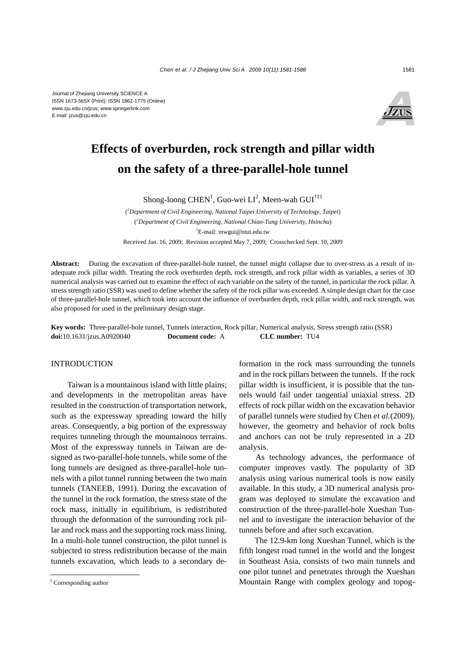

# **Effects of overburden, rock strength and pillar width on the safety of a three-parallel-hole tunnel**

Shong-loong CHEN<sup>1</sup>, Guo-wei LI<sup>2</sup>, Meen-wah GUI<sup>†‡1</sup>

( *1 Department of Civil Engineering, National Taipei University of Technology, Taipei*) ( *2 Department of Civil Engineering, National Chiao-Tung University, Hsinchu*) † E-mail: mwgui@ntut.edu.tw Received Jan. 16, 2009; Revision accepted May 7, 2009; Crosschecked Sept. 10, 2009

**Abstract:** During the excavation of three-parallel-hole tunnel, the tunnel might collapse due to over-stress as a result of inadequate rock pillar width. Treating the rock overburden depth, rock strength, and rock pillar width as variables, a series of 3D numerical analysis was carried out to examine the effect of each variable on the safety of the tunnel, in particular the rock pillar. A stress strength ratio (SSR) was used to define whether the safety of the rock pillar was exceeded. A simple design chart for the case of three-parallel-hole tunnel, which took into account the influence of overburden depth, rock pillar width, and rock strength, was also proposed for used in the preliminary design stage.

**Key words:** Three-parallel-hole tunnel, Tunnels interaction, Rock pillar, Numerical analysis, Stress strength ratio (SSR) **doi:**10.1631/jzus.A0920040 **Document code:** A **CLC number:** TU4

## INTRODUCTION

Taiwan is a mountainous island with little plains; and developments in the metropolitan areas have resulted in the construction of transportation network, such as the expressway spreading toward the hilly areas. Consequently, a big portion of the expressway requires tunneling through the mountainous terrains. Most of the expressway tunnels in Taiwan are designed as two-parallel-hole tunnels, while some of the long tunnels are designed as three-parallel-hole tunnels with a pilot tunnel running between the two main tunnels (TANEEB, 1991). During the excavation of the tunnel in the rock formation, the stress state of the rock mass, initially in equilibrium, is redistributed through the deformation of the surrounding rock pillar and rock mass and the supporting rock mass lining. In a multi-hole tunnel construction, the pilot tunnel is subjected to stress redistribution because of the main tunnels excavation, which leads to a secondary deformation in the rock mass surrounding the tunnels and in the rock pillars between the tunnels. If the rock pillar width is insufficient, it is possible that the tunnels would fail under tangential uniaxial stress. 2D effects of rock pillar width on the excavation behavior of parallel tunnels were studied by Chen *et al.*(2009), however, the geometry and behavior of rock bolts and anchors can not be truly represented in a 2D analysis.

As technology advances, the performance of computer improves vastly. The popularity of 3D analysis using various numerical tools is now easily available. In this study, a 3D numerical analysis program was deployed to simulate the excavation and construction of the three-parallel-hole Xueshan Tunnel and to investigate the interaction behavior of the tunnels before and after such excavation.

The 12.9-km long Xueshan Tunnel, which is the fifth longest road tunnel in the world and the longest in Southeast Asia, consists of two main tunnels and one pilot tunnel and penetrates through the Xueshan Mountain Range with complex geology and topog-

<sup>‡</sup> Corresponding author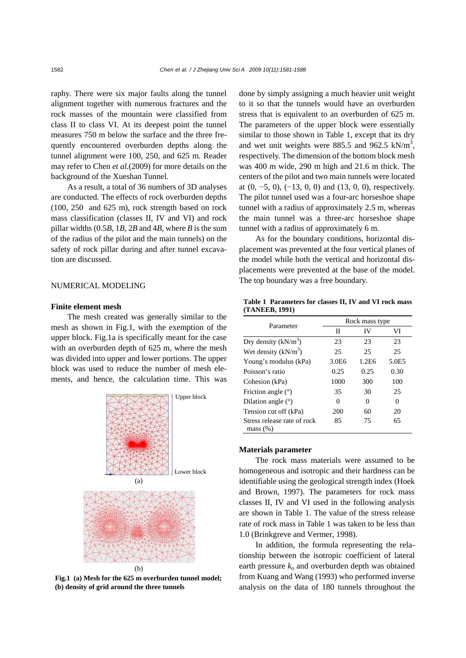raphy. There were six major faults along the tunnel alignment together with numerous fractures and the rock masses of the mountain were classified from class II to class VI. At its deepest point the tunnel measures 750 m below the surface and the three frequently encountered overburden depths along the tunnel alignment were 100, 250, and 625 m. Reader may refer to Chen *et al.*(2009) for more details on the background of the Xueshan Tunnel.

As a result, a total of 36 numbers of 3D analyses are conducted. The effects of rock overburden depths (100, 250 and 625 m), rock strength based on rock mass classification (classes II, IV and VI) and rock pillar widths (0.5*B*, 1*B*, 2*B* and 4*B*, where *B* is the sum of the radius of the pilot and the main tunnels) on the safety of rock pillar during and after tunnel excavation are discussed.

## NUMERICAL MODELING

#### **Finite element mesh**

The mesh created was generally similar to the mesh as shown in Fig.1, with the exemption of the upper block. Fig.1a is specifically meant for the case with an overburden depth of 625 m, where the mesh was divided into upper and lower portions. The upper block was used to reduce the number of mesh elements, and hence, the calculation time. This was



**Fig.1 (a) Mesh for the 625 m overburden tunnel model; (b) density of grid around the three tunnels** 

done by simply assigning a much heavier unit weight to it so that the tunnels would have an overburden stress that is equivalent to an overburden of 625 m. The parameters of the upper block were essentially similar to those shown in Table 1, except that its dry and wet unit weights were 885.5 and 962.5  $kN/m<sup>3</sup>$ , respectively. The dimension of the bottom block mesh was 400 m wide, 290 m high and 21.6 m thick. The centers of the pilot and two main tunnels were located at  $(0, -5, 0)$ ,  $(-13, 0, 0)$  and  $(13, 0, 0)$ , respectively. The pilot tunnel used was a four-arc horseshoe shape tunnel with a radius of approximately 2.5 m, whereas the main tunnel was a three-arc horseshoe shape tunnel with a radius of approximately 6 m.

As for the boundary conditions, horizontal displacement was prevented at the four vertical planes of the model while both the vertical and horizontal displacements were prevented at the base of the model. The top boundary was a free boundary.

**Table 1 Parameters for classes II, IV and VI rock mass (TANEEB, 1991)** 

| Parameter                               | Rock mass type    |       |          |  |
|-----------------------------------------|-------------------|-------|----------|--|
|                                         | П                 | IV    | VI       |  |
| Dry density $(kN/m^3)$                  | 23                | 23    | 23       |  |
| Wet density $(kN/m^3)$                  | 25                | 25    | 25       |  |
| Young's modulus (kPa)                   | 3.0 <sub>E6</sub> | 1.2E6 | 5.0E5    |  |
| Poisson's ratio                         | 0.25              | 0.25  | 0.30     |  |
| Cohesion (kPa)                          | 1000              | 300   | 100      |  |
| Friction angle $(°)$                    | 35                | 30    | 25       |  |
| Dilation angle $(°)$                    | 0                 | 0     | $\theta$ |  |
| Tension cut off (kPa)                   | 200               | 60    | 20       |  |
| Stress release rate of rock<br>mass (%) | 85                | 75    | 65       |  |

#### **Materials parameter**

The rock mass materials were assumed to be homogeneous and isotropic and their hardness can be identifiable using the geological strength index (Hoek and Brown, 1997). The parameters for rock mass classes II, IV and VI used in the following analysis are shown in Table 1. The value of the stress release rate of rock mass in Table 1 was taken to be less than 1.0 (Brinkgreve and Vermer, 1998).

In addition, the formula representing the relationship between the isotropic coefficient of lateral earth pressure  $k_0$  and overburden depth was obtained from Kuang and Wang (1993) who performed inverse analysis on the data of 180 tunnels throughout the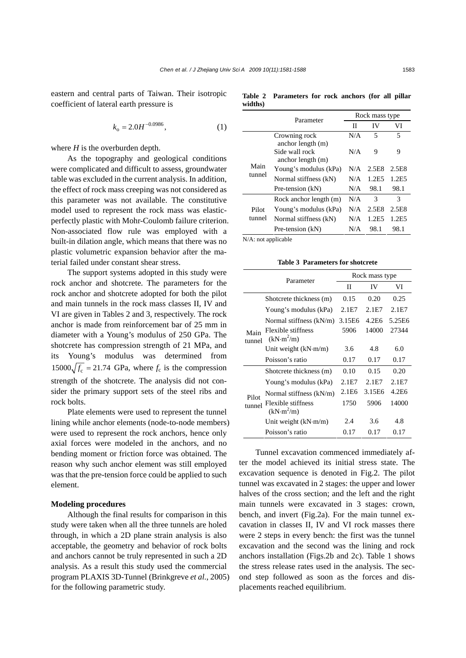eastern and central parts of Taiwan. Their isotropic coefficient of lateral earth pressure is

$$
k_o = 2.0H^{-0.0986},\tag{1}
$$

where  $H$  is the overburden depth.

As the topography and geological conditions were complicated and difficult to assess, groundwater table was excluded in the current analysis. In addition, the effect of rock mass creeping was not considered as this parameter was not available. The constitutive model used to represent the rock mass was elasticperfectly plastic with Mohr-Coulomb failure criterion. Non-associated flow rule was employed with a built-in dilation angle, which means that there was no plastic volumetric expansion behavior after the material failed under constant shear stress.

The support systems adopted in this study were rock anchor and shotcrete. The parameters for the rock anchor and shotcrete adopted for both the pilot and main tunnels in the rock mass classes II, IV and VI are given in Tables 2 and 3, respectively. The rock anchor is made from reinforcement bar of 25 mm in diameter with a Young's modulus of 250 GPa. The shotcrete has compression strength of 21 MPa, and its Young's modulus was determined from  $15000 \sqrt{f_c} = 21.74$  GPa, where  $f_c$  is the compression strength of the shotcrete. The analysis did not consider the primary support sets of the steel ribs and rock bolts.

Plate elements were used to represent the tunnel lining while anchor elements (node-to-node members) were used to represent the rock anchors, hence only axial forces were modeled in the anchors, and no bending moment or friction force was obtained. The reason why such anchor element was still employed was that the pre-tension force could be applied to such element.

#### **Modeling procedures**

Although the final results for comparison in this study were taken when all the three tunnels are holed through, in which a 2D plane strain analysis is also acceptable, the geometry and behavior of rock bolts and anchors cannot be truly represented in such a 2D analysis. As a result this study used the commercial program PLAXIS 3D-Tunnel (Brinkgreve *et al.*, 2005) for the following parametric study.

**Table 2 Parameters for rock anchors (for all pillar widths)** 

|                 | Parameter                                                | Rock mass type |       |       |
|-----------------|----------------------------------------------------------|----------------|-------|-------|
|                 |                                                          | Н              | IV    | VI    |
|                 | Crowning rock                                            | N/A            | 5     | 5     |
| Main<br>tunnel  | anchor length (m)<br>Side wall rock<br>anchor length (m) | N/A            | 9     | 9     |
|                 | Young's modulus (kPa)                                    | N/A            | 2.5E8 | 2.5E8 |
|                 | Normal stiffness (kN)                                    | N/A            | 1.2E5 | 1.2E5 |
|                 | Pre-tension (kN)                                         | N/A            | 98.1  | 98.1  |
| Pilot<br>tunnel | Rock anchor length (m)                                   | N/A            | 3     | 3     |
|                 | Young's modulus (kPa)                                    | N/A            | 2.5E8 | 2.5E8 |
|                 | Normal stiffness (kN)                                    | N/A            | 1.2E5 | 1.2E5 |
|                 | Pre-tension (kN)                                         | N/A            | 98.1  | 98.1  |

N/A: not applicable

**Table 3 Parameters for shotcrete** 

|                 | Parameter                                    | Rock mass type    |        |        |
|-----------------|----------------------------------------------|-------------------|--------|--------|
|                 |                                              | П                 | IV     | VI     |
|                 | Shotcrete thickness (m)                      | 0.15              | 0.20   | 0.25   |
| Main<br>tunnel  | Young's modulus (kPa)                        | 2.1E7             | 2.1E7  | 2.1E7  |
|                 | Normal stiffness $(kN/m)$                    | 3.15E6            | 4.2E6  | 5.25E6 |
|                 | Flexible stiffness<br>(kN·m <sup>2</sup> /m) | 5906              | 14000  | 27344  |
|                 | Unit weight $(kN·m/m)$                       | 3.6               | 4.8    | 6.0    |
|                 | Poisson's ratio                              | 0.17              | 0.17   | 0.17   |
| Pilot<br>tunnel | Shotcrete thickness (m)                      | 0.10              | 0.15   | 0.20   |
|                 | Young's modulus (kPa)                        | 2.1E7             | 2.1E7  | 2.1E7  |
|                 | Normal stiffness $(kN/m)$                    | 2.1E <sub>6</sub> | 3.15E6 | 4.2E6  |
|                 | Flexible stiffness<br>(kN·m <sup>2</sup> /m) | 1750              | 5906   | 14000  |
|                 | Unit weight (kN·m/m)                         | 2.4               | 3.6    | 4.8    |
|                 | Poisson's ratio                              | 0.17              | 0.17   | 0.17   |

Tunnel excavation commenced immediately after the model achieved its initial stress state. The excavation sequence is denoted in Fig.2. The pilot tunnel was excavated in 2 stages: the upper and lower halves of the cross section; and the left and the right main tunnels were excavated in 3 stages: crown, bench, and invert (Fig.2a). For the main tunnel excavation in classes II, IV and VI rock masses there were 2 steps in every bench: the first was the tunnel excavation and the second was the lining and rock anchors installation (Figs.2b and 2c). Table 1 shows the stress release rates used in the analysis. The second step followed as soon as the forces and displacements reached equilibrium.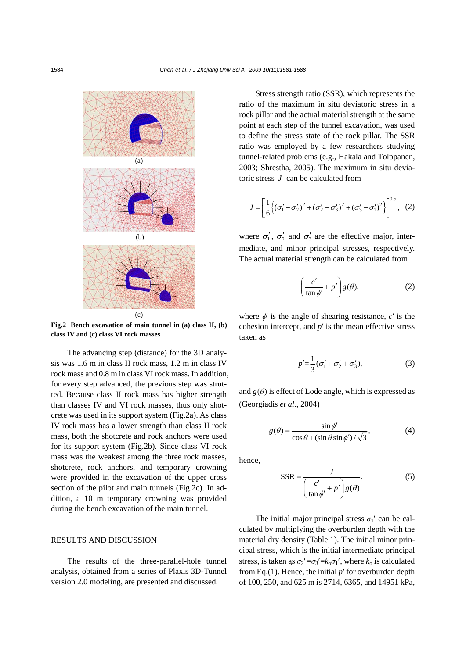

**Fig.2 Bench excavation of main tunnel in (a) class II, (b) class IV and (c) class VI rock masses** 

The advancing step (distance) for the 3D analysis was 1.6 m in class II rock mass, 1.2 m in class IV rock mass and 0.8 m in class VI rock mass. In addition, for every step advanced, the previous step was strutted. Because class II rock mass has higher strength than classes IV and VI rock masses, thus only shotcrete was used in its support system (Fig.2a). As class IV rock mass has a lower strength than class II rock mass, both the shotcrete and rock anchors were used for its support system (Fig.2b). Since class VI rock mass was the weakest among the three rock masses, shotcrete, rock anchors, and temporary crowning were provided in the excavation of the upper cross section of the pilot and main tunnels (Fig.2c). In addition, a 10 m temporary crowning was provided during the bench excavation of the main tunnel.

# RESULTS AND DISCUSSION

The results of the three-parallel-hole tunnel analysis, obtained from a series of Plaxis 3D-Tunnel version 2.0 modeling, are presented and discussed.

Stress strength ratio (SSR), which represents the ratio of the maximum in situ deviatoric stress in a rock pillar and the actual material strength at the same point at each step of the tunnel excavation, was used to define the stress state of the rock pillar. The SSR ratio was employed by a few researchers studying tunnel-related problems (e.g., Hakala and Tolppanen, 2003; Shrestha, 2005). The maximum in situ deviatoric stress *J* can be calculated from

$$
J = \left[\frac{1}{6}\left\{(\sigma'_1 - \sigma'_2)^2 + (\sigma'_2 - \sigma'_3)^2 + (\sigma'_3 - \sigma'_1)^2\right\}\right]^{0.5}, (2)
$$

where  $\sigma'_1$ ,  $\sigma'_2$  and  $\sigma'_3$  are the effective major, intermediate, and minor principal stresses, respectively. The actual material strength can be calculated from

$$
\left(\frac{c'}{\tan\phi'} + p'\right)g(\theta),\tag{2}
$$

where  $\phi'$  is the angle of shearing resistance,  $c'$  is the cohesion intercept, and *p*′ is the mean effective stress taken as

$$
p' = \frac{1}{3}(\sigma_1' + \sigma_2' + \sigma_3'),
$$
 (3)

and  $g(\theta)$  is effect of Lode angle, which is expressed as (Georgiadis *et al*., 2004)

$$
g(\theta) = \frac{\sin \phi'}{\cos \theta + (\sin \theta \sin \phi') / \sqrt{3}},
$$
 (4)

hence,

$$
SSR = \frac{J}{\left(\frac{c'}{\tan \phi'} + p'\right)g(\theta)}.
$$
 (5)

The initial major principal stress  $\sigma_1'$  can be calculated by multiplying the overburden depth with the material dry density (Table 1). The initial minor principal stress, which is the initial intermediate principal stress, is taken as  $\sigma_2' = \sigma_3' = k_0 \sigma_1'$ , where  $k_0$  is calculated from Eq.(1). Hence, the initial *p*′ for overburden depth of 100, 250, and 625 m is 2714, 6365, and 14951 kPa,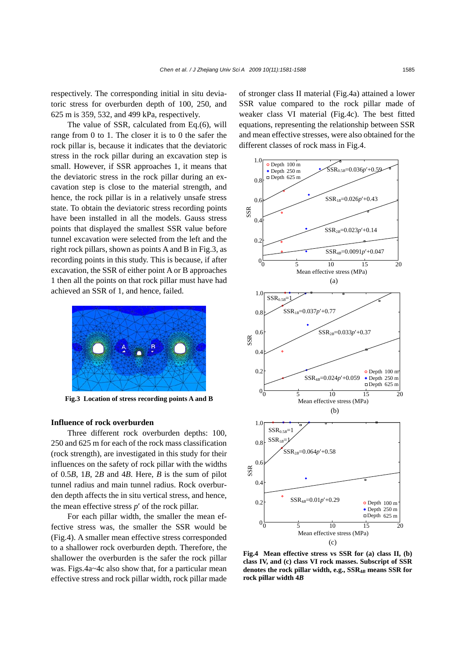respectively. The corresponding initial in situ deviatoric stress for overburden depth of 100, 250, and 625 m is 359, 532, and 499 kPa, respectively.

The value of SSR, calculated from Eq.(6), will range from 0 to 1. The closer it is to 0 the safer the rock pillar is, because it indicates that the deviatoric stress in the rock pillar during an excavation step is small. However, if SSR approaches 1, it means that the deviatoric stress in the rock pillar during an excavation step is close to the material strength, and hence, the rock pillar is in a relatively unsafe stress state. To obtain the deviatoric stress recording points have been installed in all the models. Gauss stress points that displayed the smallest SSR value before tunnel excavation were selected from the left and the right rock pillars, shown as points A and B in Fig.3, as recording points in this study. This is because, if after excavation, the SSR of either point A or B approaches 1 then all the points on that rock pillar must have had achieved an SSR of 1, and hence, failed.



**Fig.3 Location of stress recording points A and B** 

### **Influence of rock overburden**

Three different rock overburden depths: 100, 250 and 625 m for each of the rock mass classification (rock strength), are investigated in this study for their influences on the safety of rock pillar with the widths of 0.5*B*, 1*B*, 2*B* and 4*B*. Here, *B* is the sum of pilot tunnel radius and main tunnel radius. Rock overburden depth affects the in situ vertical stress, and hence, the mean effective stress *p*′ of the rock pillar.

For each pillar width, the smaller the mean effective stress was, the smaller the SSR would be (Fig.4). A smaller mean effective stress corresponded to a shallower rock overburden depth. Therefore, the shallower the overburden is the safer the rock pillar was. Figs.4a~4c also show that, for a particular mean effective stress and rock pillar width, rock pillar made

of stronger class II material (Fig.4a) attained a lower SSR value compared to the rock pillar made of weaker class VI material (Fig.4c). The best fitted equations, representing the relationship between SSR and mean effective stresses, were also obtained for the different classes of rock mass in Fig.4.



**Fig.4 Mean effective stress vs SSR for (a) class II, (b) class IV, and (c) class VI rock masses. Subscript of SSR** denotes the rock pillar width, e.g.,  $SSR_{4B}$  means SSR for **rock pillar width 4***B*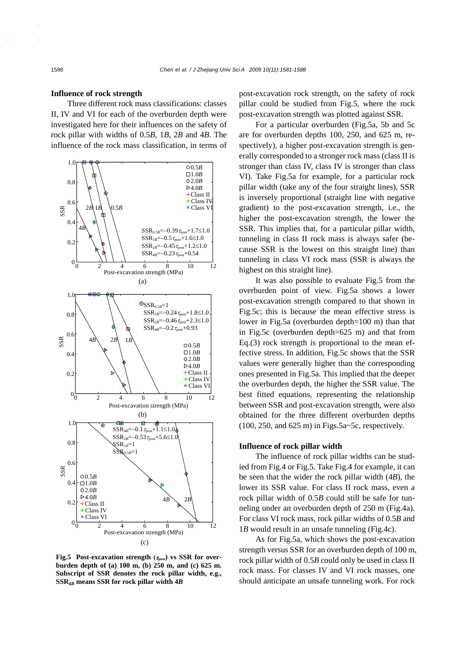#### **Influence of rock strength**

Three different rock mass classifications: classes II, IV and VI for each of the overburden depth were investigated here for their influences on the safety of rock pillar with widths of 0.5*B*, 1*B*, 2*B* and 4*B*. The influence of the rock mass classification, in terms of



**Fig.5** Post-excavation strength (τ<sub>post</sub>) vs SSR for over**burden depth of (a) 100 m, (b) 250 m, and (c) 625 m. Subscript of SSR denotes the rock pillar width, e.g., SSR4***B* **means SSR for rock pillar width 4***B*

post-excavation rock strength, on the safety of rock pillar could be studied from Fig.5, where the rock post-excavation strength was plotted against SSR.

For a particular overburden (Fig.5a, 5b and 5c are for overburden depths 100, 250, and 625 m, respectively), a higher post-excavation strength is generally corresponded to a stronger rock mass (class II is stronger than class IV, class IV is stronger than class VI). Take Fig.5a for example, for a particular rock pillar width (take any of the four straight lines), SSR is inversely proportional (straight line with negative gradient) to the post-excavation strength, i.e., the higher the post-excavation strength, the lower the SSR. This implies that, for a particular pillar width, tunneling in class II rock mass is always safer (because SSR is the lowest on this straight line) than tunneling in class VI rock mass (SSR is always the highest on this straight line).

It was also possible to evaluate Fig.5 from the overburden point of view. Fig.5a shows a lower post-excavation strength compared to that shown in Fig.5c; this is because the mean effective stress is lower in Fig.5a (overburden depth=100 m) than that in Fig.5c (overburden depth=625 m) and that from Eq.(3) rock strength is proportional to the mean effective stress. In addition, Fig.5c shows that the SSR values were generally higher than the corresponding ones presented in Fig.5a. This implied that the deeper the overburden depth, the higher the SSR value. The best fitted equations, representing the relationship between SSR and post-excavation strength, were also obtained for the three different overburden depths  $(100, 250, \text{ and } 625 \text{ m})$  in Figs.5a~5c, respectively.

# **Influence of rock pillar width**

The influence of rock pillar widths can be studied from Fig.4 or Fig.5. Take Fig.4 for example, it can be seen that the wider the rock pillar width (4*B*), the lower its SSR value. For class II rock mass, even a rock pillar width of 0.5*B* could still be safe for tunneling under an overburden depth of 250 m (Fig.4a). For class VI rock mass, rock pillar widths of 0.5*B* and 1*B* would result in an unsafe tunneling (Fig.4c).

As for Fig.5a, which shows the post-excavation strength versus SSR for an overburden depth of 100 m, rock pillar width of 0.5*B* could only be used in class II rock mass. For classes IV and VI rock masses, one should anticipate an unsafe tunneling work. For rock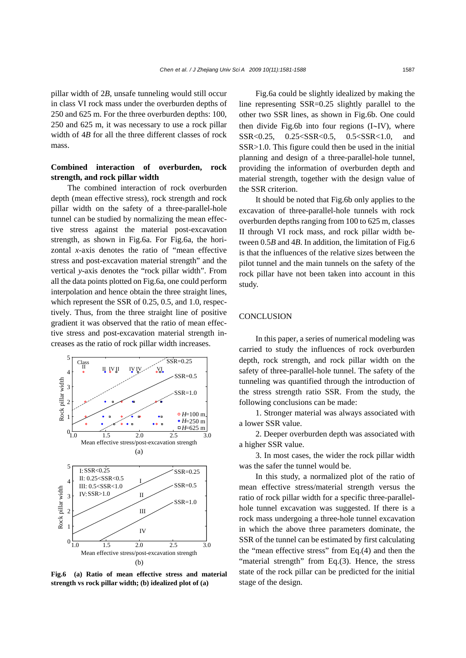pillar width of 2*B*, unsafe tunneling would still occur in class VI rock mass under the overburden depths of 250 and 625 m. For the three overburden depths: 100, 250 and 625 m, it was necessary to use a rock pillar width of 4*B* for all the three different classes of rock mass.

# **Combined interaction of overburden, rock strength, and rock pillar width**

The combined interaction of rock overburden depth (mean effective stress), rock strength and rock pillar width on the safety of a three-parallel-hole tunnel can be studied by normalizing the mean effective stress against the material post-excavation strength, as shown in Fig.6a. For Fig.6a, the horizontal *x*-axis denotes the ratio of "mean effective stress and post-excavation material strength" and the vertical *y*-axis denotes the "rock pillar width". From all the data points plotted on Fig.6a, one could perform interpolation and hence obtain the three straight lines, which represent the SSR of 0.25, 0.5, and 1.0, respectively. Thus, from the three straight line of positive gradient it was observed that the ratio of mean effective stress and post-excavation material strength increases as the ratio of rock pillar width increases.



**Fig.6 (a) Ratio of mean effective stress and material strength vs rock pillar width; (b) idealized plot of (a)** 

Fig.6a could be slightly idealized by making the line representing SSR=0.25 slightly parallel to the other two SSR lines, as shown in Fig.6b. One could then divide Fig.6b into four regions (I∼IV), where SSR<0.25, 0.25<SSR<0.5, 0.5<SSR<1.0, and SSR>1.0. This figure could then be used in the initial planning and design of a three-parallel-hole tunnel, providing the information of overburden depth and material strength, together with the design value of the SSR criterion.

It should be noted that Fig.6b only applies to the excavation of three-parallel-hole tunnels with rock overburden depths ranging from 100 to 625 m, classes II through VI rock mass, and rock pillar width between 0.5*B* and 4*B*. In addition, the limitation of Fig.6 is that the influences of the relative sizes between the pilot tunnel and the main tunnels on the safety of the rock pillar have not been taken into account in this study.

# **CONCLUSION**

In this paper, a series of numerical modeling was carried to study the influences of rock overburden depth, rock strength, and rock pillar width on the safety of three-parallel-hole tunnel. The safety of the tunneling was quantified through the introduction of the stress strength ratio SSR. From the study, the following conclusions can be made:

1. Stronger material was always associated with a lower SSR value.

2. Deeper overburden depth was associated with a higher SSR value.

3. In most cases, the wider the rock pillar width was the safer the tunnel would be.

In this study, a normalized plot of the ratio of mean effective stress/material strength versus the ratio of rock pillar width for a specific three-parallelhole tunnel excavation was suggested. If there is a rock mass undergoing a three-hole tunnel excavation in which the above three parameters dominate, the SSR of the tunnel can be estimated by first calculating the "mean effective stress" from Eq.(4) and then the "material strength" from Eq.(3). Hence, the stress state of the rock pillar can be predicted for the initial stage of the design.